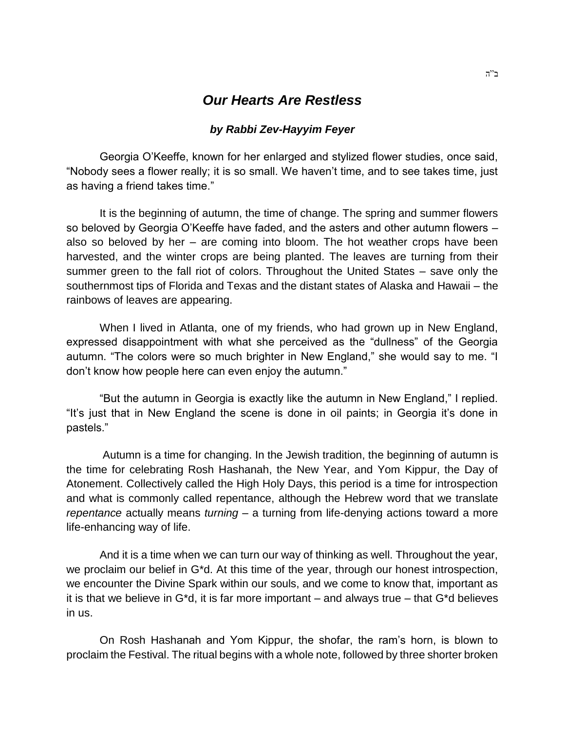## *Our Hearts Are Restless*

## *by Rabbi Zev-Hayyim Feyer*

Georgia O'Keeffe, known for her enlarged and stylized flower studies, once said, "Nobody sees a flower really; it is so small. We haven't time, and to see takes time, just as having a friend takes time."

It is the beginning of autumn, the time of change. The spring and summer flowers so beloved by Georgia O'Keeffe have faded, and the asters and other autumn flowers – also so beloved by her – are coming into bloom. The hot weather crops have been harvested, and the winter crops are being planted. The leaves are turning from their summer green to the fall riot of colors. Throughout the United States – save only the southernmost tips of Florida and Texas and the distant states of Alaska and Hawaii – the rainbows of leaves are appearing.

When I lived in Atlanta, one of my friends, who had grown up in New England, expressed disappointment with what she perceived as the "dullness" of the Georgia autumn. "The colors were so much brighter in New England," she would say to me. "I don't know how people here can even enjoy the autumn."

"But the autumn in Georgia is exactly like the autumn in New England," I replied. "It's just that in New England the scene is done in oil paints; in Georgia it's done in pastels."

Autumn is a time for changing. In the Jewish tradition, the beginning of autumn is the time for celebrating Rosh Hashanah, the New Year, and Yom Kippur, the Day of Atonement. Collectively called the High Holy Days, this period is a time for introspection and what is commonly called repentance, although the Hebrew word that we translate *repentance* actually means *turning* – a turning from life-denying actions toward a more life-enhancing way of life.

And it is a time when we can turn our way of thinking as well. Throughout the year, we proclaim our belief in G\*d. At this time of the year, through our honest introspection, we encounter the Divine Spark within our souls, and we come to know that, important as it is that we believe in  $G^*d$ , it is far more important – and always true – that  $G^*d$  believes in us.

On Rosh Hashanah and Yom Kippur, the shofar, the ram's horn, is blown to proclaim the Festival. The ritual begins with a whole note, followed by three shorter broken